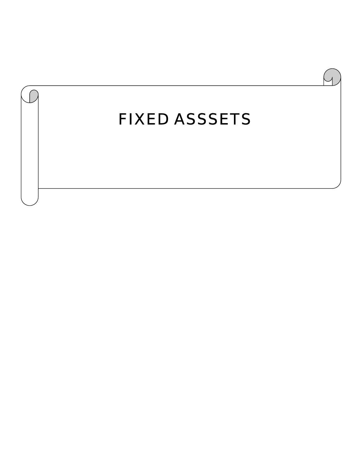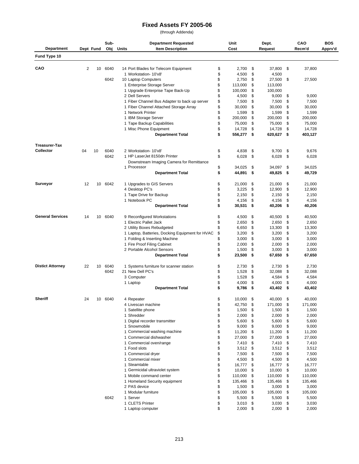## **Fixed Assets FY 2005-06**

(through Addenda)

|                         |    |           | Sub-    | <b>Department Requested</b>                     | Unit             | Dept. |         |    | CAO     | <b>BOS</b> |
|-------------------------|----|-----------|---------|-------------------------------------------------|------------------|-------|---------|----|---------|------------|
| <b>Department</b>       |    | Dept Fund | Obj     | <b>Item Description</b><br>Units                | Cost             |       | Request |    | Recm'd  | Apprv'd    |
| Fund Type 10            |    |           |         |                                                 |                  |       |         |    |         |            |
|                         |    |           |         |                                                 |                  |       |         |    |         |            |
| CAO                     | 2  | 10        | 6040    | 14 Port Blades for Telecom Equipment            | \$<br>2,700      | \$    | 37,800  | \$ | 37,800  |            |
|                         |    |           |         | 1 Workstation- 10'x8'                           | \$<br>4,500      | \$    | 4,500   |    |         |            |
|                         |    |           | 6042    | 10 Laptop Computers                             | \$<br>2,750      | \$    | 27,500  | \$ | 27,500  |            |
|                         |    |           |         | 1 Enterprise Storage Server                     | \$<br>113,000    | \$    | 113,000 |    |         |            |
|                         |    |           |         | 1 Upgrade Enterprise Tape Back-Up               | \$<br>100,000    | \$    | 100,000 |    |         |            |
|                         |    |           |         | 2 Dell Servers                                  | \$<br>4,500      | \$    | 9,000   | \$ | 9,000   |            |
|                         |    |           |         | 1 Fiber Channel Bus Adapter to back up server   | \$<br>7,500      | \$    | 7,500   | \$ | 7,500   |            |
|                         |    |           |         | 1 Fiber Channel Attached Storage Array          | \$<br>30,000     | \$    | 30,000  | \$ | 30,000  |            |
|                         |    |           |         | 1 Network Printer                               | \$<br>1,599      | \$    | 1,599   | \$ | 1,599   |            |
|                         |    |           |         | 1 IBM Storage Server                            | \$<br>200,000    | \$    | 200,000 | \$ | 200,000 |            |
|                         |    |           |         | 1 Tape Backup Capabilities                      | \$<br>75,000     | \$    | 75,000  | \$ | 75,000  |            |
|                         |    |           |         | 1 Misc Phone Equipment                          | \$<br>14,728     | \$    | 14,728  | \$ | 14,728  |            |
|                         |    |           |         | <b>Department Total</b>                         | \$<br>556,277    | \$    | 620,627 | \$ | 403,127 |            |
|                         |    |           |         |                                                 |                  |       |         |    |         |            |
| <b>Treasurer-Tax</b>    |    |           |         |                                                 |                  |       |         |    |         |            |
| Collector               | 04 | 10        | 6040    | 2 Workstation- 10'x8'                           | \$<br>4,838      | \$    | 9,700   | \$ | 9,676   |            |
|                         |    |           | 6042    | 1 HP LaserJet 8150dn Printer                    | \$<br>6,028      | \$    | 6,028   | \$ | 6,028   |            |
|                         |    |           |         | Downstream Imaging Camera for Remittance        |                  |       |         |    |         |            |
|                         |    |           |         | 1 Processor                                     | \$<br>34,025     | \$    | 34,097  | \$ | 34,025  |            |
|                         |    |           |         | <b>Department Total</b>                         | \$<br>44,891     | \$    | 49,825  | \$ | 49,729  |            |
| Surveyor                | 12 | 10        | 6042    | 1 Upgrades to GIS Servers                       | \$<br>21,000     | \$    | 21,000  | \$ | 21,000  |            |
|                         |    |           |         | 4 Desktop PC's                                  | \$<br>3,225      | \$    | 12,900  | \$ | 12,900  |            |
|                         |    |           |         |                                                 | \$               |       |         |    |         |            |
|                         |    |           |         | 1 Tape Drive for Backup                         | 2,150            | \$    | 2,150   | \$ | 2,150   |            |
|                         |    |           |         | 1 Notebook PC                                   | \$<br>4,156      | \$    | 4,156   | \$ | 4,156   |            |
|                         |    |           |         | <b>Department Total</b>                         | \$<br>30,531     | -\$   | 40,206  | \$ | 40,206  |            |
| <b>General Services</b> | 14 | 10        | 6040    | 9 Reconfigured Workstations                     | \$<br>4,500      | \$    | 40,500  | \$ | 40,500  |            |
|                         |    |           |         | 1 Electric Pallet Jack                          | \$<br>2,650      | \$    | 2,650   | \$ | 2,650   |            |
|                         |    |           |         | 2 Utility Boxes Rebudgeted                      | \$<br>6,650      | \$    | 13,300  | \$ | 13,300  |            |
|                         |    |           |         | 1 Laptop, Batteries, Docking Equipment for HVAC | \$<br>3,200      | \$    | 3,200   | \$ | 3,200   |            |
|                         |    |           |         | 1 Folding & Inserting Machine                   | \$<br>3,000      | \$    | 3,000   | \$ | 3,000   |            |
|                         |    |           |         | 1 Fire Proof Filing Cabinet                     | \$<br>2,000      | \$    | 2,000   | \$ | 2,000   |            |
|                         |    |           |         | 2 Portable Alcohol Sensors                      | \$<br>1,500      | \$    | 3,000   | \$ | 3,000   |            |
|                         |    |           |         | <b>Department Total</b>                         | \$<br>23,500     | \$    | 67,650  | \$ | 67,650  |            |
|                         |    |           |         |                                                 |                  |       |         |    |         |            |
| <b>Distict Attorney</b> | 22 | 10        | 6040    | 1 Systems furniture for scanner station         | \$<br>2,730      | \$    | 2,730   | \$ | 2,730   |            |
|                         |    |           | 6042    | 21 New Dell PC's                                | \$<br>1,528      | \$    | 32,088  | \$ | 32,088  |            |
|                         |    |           |         | 3 Computer                                      | \$<br>1,528      | \$    | 4,584   | \$ | 4,584   |            |
|                         |    |           |         | 1 Laptop                                        | \$<br>4,000      | \$    | 4,000   | \$ | 4,000   |            |
|                         |    |           |         | <b>Department Total</b>                         | \$<br>9,786      | -\$   | 43,402  | \$ | 43,402  |            |
|                         |    |           |         |                                                 |                  |       |         |    |         |            |
| <b>Sheriff</b>          | 24 |           | 10 6040 | 4 Repeater<br>4 Livescan machine                | \$<br>10,000     | -\$   | 40,000  | \$ | 40,000  |            |
|                         |    |           |         |                                                 | \$<br>42,750 \$  |       | 171,000 | P. | 171,000 |            |
|                         |    |           |         | 1 Satellite phone                               | \$<br>$1,500$ \$ |       | 1,500   | \$ | 1,500   |            |
|                         |    |           |         | 1 Shredder                                      | \$<br>$2,000$ \$ |       | 2,000   | \$ | 2,000   |            |
|                         |    |           |         | 1 Digital recorder transmitter                  | \$<br>5,600      | \$    | 5,600   | \$ | 5,600   |            |
|                         |    |           |         | 1 Snowmobile                                    | \$<br>9,000      | \$    | 9,000   | \$ | 9,000   |            |
|                         |    |           |         | 1 Commercial washing machine                    | \$<br>11,200     | \$    | 11,200  | \$ | 11,200  |            |
|                         |    |           |         | 1 Commercial dishwasher                         | \$<br>27,000     | - \$  | 27,000  | \$ | 27,000  |            |
|                         |    |           |         | 1 Commercial oven/range                         | \$<br>$7,410$ \$ |       | 7,410   | \$ | 7,410   |            |
|                         |    |           |         | 1 Food slots                                    | \$<br>$3,512$ \$ |       | 3,512   | \$ | 3,512   |            |
|                         |    |           |         | 1 Commercial dryer                              | \$<br>7,500 \$   |       | 7,500   | \$ | 7,500   |            |
|                         |    |           |         | 1 Commercial mixer                              | \$<br>4,500      | \$    | 4,500   | \$ | 4,500   |            |
|                         |    |           |         | 1 Steamtable                                    | \$<br>16,777 \$  |       | 16,777  | \$ | 16,777  |            |
|                         |    |           |         | 1 Germicidal ultraviolet system                 | \$<br>10,000     | \$    | 10,000  | \$ | 10,000  |            |
|                         |    |           |         | 1 Mobile command center                         | \$<br>110,000 \$ |       | 110,000 | \$ | 110,000 |            |
|                         |    |           |         | 1 Homeland Security equipment                   | \$<br>135,466 \$ |       | 135,466 | \$ | 135,466 |            |
|                         |    |           |         | 2 PAS device                                    | \$<br>$1,500$ \$ |       | 3,000   | \$ | 3,000   |            |
|                         |    |           |         | 1 Modular furniture                             | \$<br>105,000 \$ |       | 105,000 | \$ | 105,000 |            |
|                         |    |           | 6042    | 1 Server                                        | \$<br>5,500      | \$    | 5,500   | \$ | 5,500   |            |
|                         |    |           |         | 1 CLETS Printer                                 | \$<br>$3,010$ \$ |       | 3,030   | \$ | 3,030   |            |
|                         |    |           |         |                                                 |                  |       |         |    |         |            |
|                         |    |           |         | 1 Laptop computer                               | \$<br>$2,000$ \$ |       | 2,000   | \$ | 2,000   |            |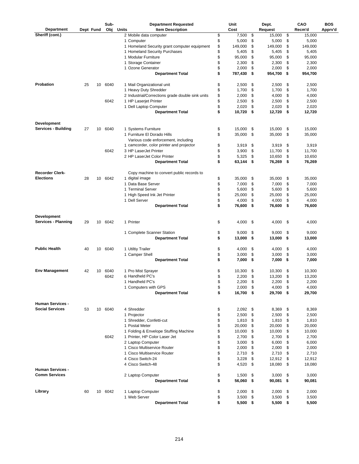|                                                 |           |    | Sub-    | <b>Department Requested</b>                      | Unit             | Dept.            |     | CAO     | <b>BOS</b> |
|-------------------------------------------------|-----------|----|---------|--------------------------------------------------|------------------|------------------|-----|---------|------------|
| Department                                      | Dept Fund |    | Obj     | Units<br><b>Item Description</b>                 | Cost             | Request          |     | Recm'd  | Apprv'd    |
| Sheriff (cont.)                                 |           |    |         | 2 Mobile data computer                           | \$<br>7,500      | \$<br>15,000     | \$  | 15,000  |            |
|                                                 |           |    |         | 1 Computer                                       | \$<br>5,000      | \$<br>5,000      | \$  | 5,000   |            |
|                                                 |           |    |         | 1 Homeland Security grant computer equipment     | \$<br>149,000    | \$<br>149,000    | \$  | 149,000 |            |
|                                                 |           |    |         | 1 Homeland Security Purchases                    | \$<br>5,405      | \$<br>5,405      | \$  | 5,405   |            |
|                                                 |           |    |         | 1 Modular Furniture                              | \$<br>95,000     | \$<br>95,000     | \$  | 95,000  |            |
|                                                 |           |    |         | 1 Storage Container                              | \$<br>2,300      | \$<br>2,300      | \$  | 2,300   |            |
|                                                 |           |    |         | 1 Ozone Generator                                | \$<br>2,000      | \$<br>2,000      | \$  | 2,000   |            |
|                                                 |           |    |         | <b>Department Total</b>                          | \$<br>787,430    | \$<br>954,700    | -\$ | 954,700 |            |
| Probation                                       | 25        | 10 | 6040    | 1 Mail Organizational unit                       | \$<br>2,500      | \$<br>2,500      | \$  | 2,500   |            |
|                                                 |           |    |         | 1 Heavy Duty Shredder                            | \$<br>1,700      | \$<br>1,700      | \$  | 1,700   |            |
|                                                 |           |    |         | 2 Industrial/Corrections grade double sink units | \$<br>2,000      | \$<br>4,000      | \$  | 4,000   |            |
|                                                 |           |    | 6042    | 1 HP Laserjet Printer                            | \$<br>2,500      | \$<br>2,500      | \$  | 2,500   |            |
|                                                 |           |    |         | 1 Dell Laptop Computer                           | \$<br>2,020      | \$<br>2,020      | \$  | 2,020   |            |
|                                                 |           |    |         | <b>Department Total</b>                          | \$<br>10,720     | \$<br>12,720     | \$  | 12,720  |            |
| Development                                     |           |    |         |                                                  |                  |                  |     |         |            |
| <b>Services - Building</b>                      | 27        | 10 | 6040    | 1 Systems Furniture                              | \$<br>15,000     | \$<br>15,000     | \$  | 15,000  |            |
|                                                 |           |    |         | 1 Furniture El Dorado Hills                      | \$<br>35,000     | \$<br>35,000     | \$  | 35,000  |            |
|                                                 |           |    |         | Various code enforcement, including              |                  |                  |     |         |            |
|                                                 |           |    |         | 1 camcorder, color printer and projector         | \$<br>3,919      | \$<br>3,919      | \$  | 3,919   |            |
|                                                 |           |    | 6042    | 3 HP LaserJet Printer                            | \$<br>3,900      | \$<br>11,700     | \$  | 11,700  |            |
|                                                 |           |    |         | 2 HP LaserJet Color Printer                      | \$<br>5,325      | \$<br>10,650     | \$  | 10,650  |            |
|                                                 |           |    |         | <b>Department Total</b>                          | \$<br>63,144     | \$<br>76,269     | \$  | 76,269  |            |
| Recorder Clerk-                                 |           |    |         | Copy machine to convert public records to        |                  |                  |     |         |            |
| <b>Elections</b>                                | 28        | 10 | 6042    | 1 digital image                                  | \$<br>35,000     | \$<br>35,000     | \$  | 35,000  |            |
|                                                 |           |    |         | 1 Data Base Server                               | \$<br>7,000      | \$<br>7,000      | \$  | 7,000   |            |
|                                                 |           |    |         | 1 Terminal Server                                | \$<br>5,600      | \$<br>5,600      | \$  | 5,600   |            |
|                                                 |           |    |         | 1 High Speed Ink Jet Printer                     | \$<br>25,000     | \$<br>25,000     | \$  | 25,000  |            |
|                                                 |           |    |         | 1 Dell Server                                    | \$<br>4,000      | \$<br>4,000      | \$  | 4,000   |            |
|                                                 |           |    |         | <b>Department Total</b>                          | \$<br>76,600     | \$<br>76,600     | \$  | 76,600  |            |
| Development                                     |           |    |         |                                                  |                  |                  |     |         |            |
| <b>Services - Planning</b>                      | 29        | 10 | 6042    | 1 Printer                                        | \$<br>4,000      | \$<br>4,000      | \$  | 4,000   |            |
|                                                 |           |    |         | 1 Complete Scanner Station                       | \$<br>9,000      | \$<br>9,000      | \$  | 9,000   |            |
|                                                 |           |    |         | <b>Department Total</b>                          | \$<br>13,000     | \$<br>13,000     | -\$ | 13,000  |            |
|                                                 |           |    |         |                                                  |                  |                  |     |         |            |
| <b>Public Health</b>                            | 40        | 10 | 6040    | 1 Utiltiy Trailer                                | \$<br>4,000      | \$<br>4,000      | \$  | 4,000   |            |
|                                                 |           |    |         | 1 Camper Shell                                   | \$<br>3,000      | \$<br>3,000      | \$  | 3,000   |            |
|                                                 |           |    |         | <b>Department Total</b>                          | \$<br>7,000      | \$<br>7,000      | -\$ | 7,000   |            |
| Env Management                                  | 42        | 10 | 6040    | 1 Pro Mist Sprayer                               | \$<br>10,300     | \$<br>10,300     | \$  | 10,300  |            |
|                                                 |           |    | 6042    | 6 Handheld PC's                                  | \$<br>2,200      | \$<br>13,200     | \$  | 13,200  |            |
|                                                 |           |    |         | 1 Handheld PC's                                  | \$<br>2,200      | \$<br>2,200      | \$  | 2,200   |            |
|                                                 |           |    |         | 1 Computers with GPS                             | \$<br>2,000      | \$<br>4,000 \$   |     | 4,000   |            |
|                                                 |           |    |         | <b>Department Total</b>                          | \$<br>16,700 \$  | 29,700 \$        |     | 29,700  |            |
| <b>Human Services -</b>                         |           |    |         |                                                  |                  |                  |     |         |            |
| <b>Social Services</b>                          | 53        | 10 | 6040    | 4 Shredder                                       | \$<br>$2,092$ \$ | 8,369            | \$  | 8,369   |            |
|                                                 |           |    |         | 1 Projector                                      | \$<br>2,500      | \$<br>$2,500$ \$ |     | 2,500   |            |
|                                                 |           |    |         | 1 Shredder, Confetti-cut                         | \$<br>1,810      | \$<br>$1,810$ \$ |     | 1,810   |            |
|                                                 |           |    |         | 1 Postal Meter                                   | \$<br>20,000     | \$<br>20,000     | \$  | 20,000  |            |
|                                                 |           |    |         | 1 Folding & Envelope Stuffing Machine            | \$<br>10,000     | \$<br>10,000     | \$  | 10,000  |            |
|                                                 |           |    | 6042    | 1 Printer, HP Color Laser Jet                    | \$<br>2,700      | \$<br>2,700      | \$  | 2,700   |            |
|                                                 |           |    |         | 2 Laptop Computer                                | \$<br>3,000      | \$<br>6,000      | \$  | 6,000   |            |
|                                                 |           |    |         | 1 Cisco Multiservice Router                      | \$<br>2,000      | \$<br>2,000      | \$  | 2,000   |            |
|                                                 |           |    |         | 1 Cisco Multiservice Router                      | \$<br>2,710      | \$<br>2,710 \$   |     | 2,710   |            |
|                                                 |           |    |         | 4 Cisco Switch-24                                | \$<br>3,228      | \$<br>12,912 \$  |     | 12,912  |            |
|                                                 |           |    |         | 4 Cisco Switch-48                                | \$<br>4,520      | \$<br>18,080 \$  |     | 18,080  |            |
| <b>Human Services -</b><br><b>Comm Services</b> |           |    |         | 2 Laptop Computer                                | \$<br>1,500      | \$<br>3,000      | \$  | 3,000   |            |
|                                                 |           |    |         | <b>Department Total</b>                          | \$<br>56,060     | \$<br>90,081 \$  |     | 90,081  |            |
| Library                                         | 60        |    | 10 6042 | 1 Laptop Computer                                | \$<br>2,000      | \$<br>2,000      | \$  | 2,000   |            |
|                                                 |           |    |         | 1 Web Server                                     | \$<br>3,500      | \$<br>3,500      | \$  | 3,500   |            |
|                                                 |           |    |         | <b>Department Total</b>                          | \$<br>5,500      | \$<br>5,500 \$   |     | 5,500   |            |
|                                                 |           |    |         |                                                  |                  |                  |     |         |            |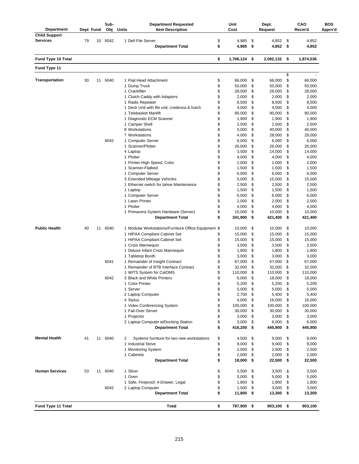| <b>Department</b>         | Dept Fund |    | Sub-<br>Obj | <b>Department Requested</b><br><b>Units</b><br><b>Item Description</b> | Unit<br>Cost |                    |            | Dept.<br>Request     |           | CAO<br>Recm'd   | <b>BOS</b><br>Apprv'd |  |
|---------------------------|-----------|----|-------------|------------------------------------------------------------------------|--------------|--------------------|------------|----------------------|-----------|-----------------|-----------------------|--|
| <b>Child Support</b>      |           |    |             |                                                                        |              |                    |            |                      |           |                 |                       |  |
| <b>Services</b>           | 79        | 10 | 6042        | 1 Dell File Server<br><b>Department Total</b>                          | \$<br>\$     | 4,985<br>4,985     | - \$<br>\$ | 4,852<br>$4,852$ \$  | \$        | 4,852<br>4,852  |                       |  |
| Fund Type 10 Total        |           |    |             |                                                                        | \$           | 1,706,124          | \$         | 2,092,132            | - \$      | 1,874,536       |                       |  |
| Fund Type 11              |           |    |             |                                                                        |              |                    |            |                      |           |                 |                       |  |
| <b>Transportation</b>     | 30        | 11 | 6040        | 1 Flail Head Attachment                                                | \$           | 66,000             | \$         | 66,000               | \$<br>\$  | 66,000          |                       |  |
|                           |           |    |             | 1 Dump Truck<br>1 Crackfiller                                          | \$<br>\$     | 50,000             | \$         | 50,000               | \$        | 50,000          |                       |  |
|                           |           |    |             | 1 Clutch Caddy with Adaptors                                           | \$           | 28,000<br>2,000    | \$<br>\$   | 28,000<br>2,000      | \$<br>\$  | 28,000<br>2,000 |                       |  |
|                           |           |    |             | 1 Radio Repeater<br>1 Deck Unit with file unit, credenza & hutch       | \$<br>\$     | 8,500<br>4,000     | \$<br>\$   | 8,500<br>4,000       | \$<br>\$  | 8,500<br>4,000  |                       |  |
|                           |           |    |             | 1 Telebasket Manlift                                                   | \$           | 90,000             | \$         | 90,000               | \$        | 90,000          |                       |  |
|                           |           |    |             | 1 Diagnostic ECM Scanner                                               | \$           | 1,900              | \$         | 1,900                | \$        | 1,900           |                       |  |
|                           |           |    |             | 1 Camper Shell                                                         | \$           | 2,500              | \$         | 2,500                | \$        | 2,500           |                       |  |
|                           |           |    |             | 8 Workstations                                                         | \$           | 5,000              | \$         | 40,000               | \$        | 40,000          |                       |  |
|                           |           |    | 6042        | 7 Workstations<br>1 Computer Server                                    | \$<br>\$     | 4,000<br>6,000     | \$<br>\$   | 28,000<br>6,000      | \$<br>\$  | 28,000<br>6,000 |                       |  |
|                           |           |    |             | 1 Scanner/Plotter                                                      | \$           | 26,000             | \$         | 26,000               | \$        | 26,000          |                       |  |
|                           |           |    |             | 4 Laptop                                                               | \$           | 3,500              | \$         | 14,000               | \$        | 14,000          |                       |  |
|                           |           |    |             | 1 Plotter                                                              | \$           | 4,000              | \$         | 4,000                | \$        | 4,000           |                       |  |
|                           |           |    |             | 1 Printer-High Speed, Color                                            | \$           | 2,000              | \$         | 2,000                | \$        | 2,000           |                       |  |
|                           |           |    |             | 1 Scanner-Flatbed                                                      | \$           | 1,500              | \$         | 1,500                | \$        | 1,500           |                       |  |
|                           |           |    |             | 1 Computer Server                                                      | \$           | 6,000              | \$         | 6,000                | \$        | 6,000           |                       |  |
|                           |           |    |             | 3 Extended Mileage Vehicles                                            | \$           | 5,000              | \$         | 15,000               | \$        | 15,000          |                       |  |
|                           |           |    |             | 1 Ethernet switch for tahoe Maintenance<br>1 Laptop                    | \$<br>\$     | 2,500<br>1,500     | \$<br>\$   | 2,500<br>1,500       | \$<br>\$  | 2,500<br>1,500  |                       |  |
|                           |           |    |             | 1 Computer Server                                                      | \$           | 6,000              | \$         | 6,000                | \$        | 6,000           |                       |  |
|                           |           |    |             | 1 Laser Printer                                                        | \$           | 2,000              | \$         | 2,000                | \$        | 2,000           |                       |  |
|                           |           |    |             | 1 Plotter                                                              | \$           | 4,000              | \$         | 4,000                | \$        | 4,000           |                       |  |
|                           |           |    |             | 1 Primavera System Hardware (Server)                                   | \$           | 10,000             | \$         | 10,000               | \$        | 10,000          |                       |  |
|                           |           |    |             | <b>Department Total</b>                                                | \$           | 341,900            | \$         | 421,400              | \$        | 421,400         |                       |  |
| <b>Public Health</b>      | 40        | 11 | 6040        | 1 Modular Workstations/Furniture Office Equipment \$                   |              | 10,000             | \$         | 10,000               | \$        | 10,000          |                       |  |
|                           |           |    |             | 1 HIPAA Compliant Cabinet Set                                          | \$           | 15,000             | \$         | 15,000               | \$        | 15,000          |                       |  |
|                           |           |    |             | 1 HIPAA Compliant Cabinet Set<br>1 Crisis Mannequin                    | \$<br>\$     | 15,000<br>3,500    | \$<br>\$   | 15,000<br>3,500      | \$<br>\$  | 15,000          |                       |  |
|                           |           |    |             | 1 Deluxe Infant Crisis Mannequin                                       | \$           | 1,800              | \$         | 1,800                | \$        | 3,500<br>1,800  |                       |  |
|                           |           |    |             | 1 Tabletop Booth                                                       | \$           | 3,000              | \$         | 3,000                | \$        | 3,000           |                       |  |
|                           |           |    | 6041        | 1 Remainder of Insight Contract                                        | \$           | 67,000             | \$         | 67,000               | \$        | 67,000          |                       |  |
|                           |           |    |             | 1 Remainder of BTB Interface Contract                                  | \$           | 32,000             | \$         | 32,000               | \$        | 32,000          |                       |  |
|                           |           |    |             | 1 WITS System for CalOMS                                               | \$           | 110,000            | \$         | 110,000              | \$        | 110,000         |                       |  |
|                           |           |    | 6042        | 3 Black and White Printers                                             | \$           | 6,000              | \$         | 18,000               | \$        | 18,000          |                       |  |
|                           |           |    |             | 1 Color Printer                                                        | \$           | 5,200              | \$         | 5,200                | \$        | 5,200           |                       |  |
|                           |           |    |             | 1 Server<br>2 Laptop Computer                                          | \$<br>\$     | 5,000<br>2,700     | \$<br>\$   | 5,000<br>5,400 \$    | \$        | 5,000           |                       |  |
|                           |           |    |             | 4 Stylus                                                               | \$           | 4,000              | \$         | 16,000               | - \$      | 5,400<br>16,000 |                       |  |
|                           |           |    |             | 1 Video Conferencing System                                            | \$           | 100,000            | \$         | 100,000              | \$        | 100,000         |                       |  |
|                           |           |    |             | 1 Fail-Over Server                                                     | \$           | 30,000             | \$         | 30,000               | \$        | 30,000          |                       |  |
|                           |           |    |             | 1 Projector                                                            | \$           | 3,000              | \$         | 3,000                | \$        | 3,000           |                       |  |
|                           |           |    |             | 2 Laptop Computer w/Docking Station                                    | \$           | 3,000              | \$         | 6,000                | \$        | 6,000           |                       |  |
|                           |           |    |             | <b>Department Total</b>                                                | \$           | 416,200            | \$         | 445,900 \$           |           | 445,900         |                       |  |
| <b>Mental Health</b>      | 41        |    | 11 6040     | Systems furniture for two new workstations<br>2                        | \$           | 4,500              | \$         | 9,000                | \$        | 9,000           |                       |  |
|                           |           |    |             | 1 Industrial Stove                                                     | \$           | 9,000              | \$         | 9,000                | \$        | 9,000           |                       |  |
|                           |           |    |             | 1 Monitoring System                                                    | \$           | 2,500              | \$         | $2,500$ \$           |           | 2,500           |                       |  |
|                           |           |    |             | 1 Cabinets<br><b>Department Total</b>                                  | \$<br>\$     | 2,000<br>18,000    | \$<br>\$   | 2,000<br>22,500      | \$<br>-\$ | 2,000<br>22,500 |                       |  |
| <b>Human Services</b>     | 53        | 11 | 6040        | 1 Slicer                                                               | \$           | 3,500              | \$         | 3,500                | \$        | 3,500           |                       |  |
|                           |           |    |             | 1 Oven                                                                 | \$           | 5,000              | \$         | 5,000                | \$        | 5,000           |                       |  |
|                           |           |    |             | 1 Safe, Fireproof, 4-Drawer, Legal                                     | \$           | 1,800              | \$         | 1,800                | \$        | 1,800           |                       |  |
|                           |           |    | 6042        | 2 Laptop Computer<br><b>Department Total</b>                           | \$<br>\$     | 1,500<br>11,800 \$ | \$         | 3,000<br>$13,300$ \$ | \$        | 3,000<br>13,300 |                       |  |
|                           |           |    |             |                                                                        |              |                    |            |                      |           |                 |                       |  |
| <b>Fund Type 11 Total</b> |           |    |             | <b>Total</b>                                                           | \$           | 787,900 \$         |            | 903,100 \$           |           | 903,100         |                       |  |